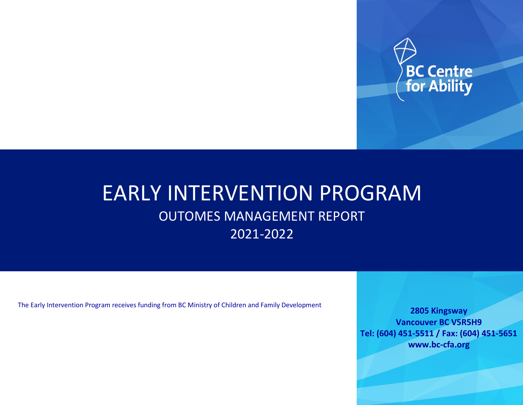

# EARLY INTERVENTION PROGRAM OUTOMES MANAGEMENT REPORT 2021-2022

The Early Intervention Program receives funding from BC Ministry of Children and Family Development

**2805 Kingsway Vancouver BC V5R5H9 Tel: (604) 451-5511 / Fax: (604) 451-5651 www.bc-cfa.org**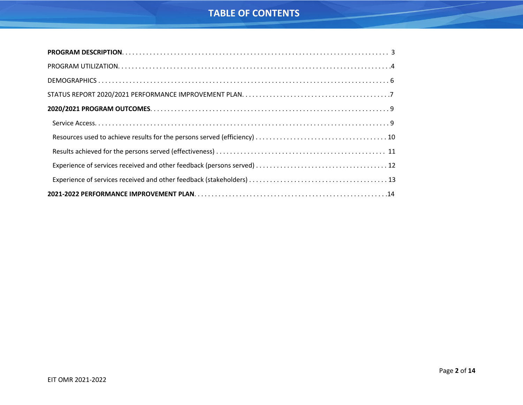### **TABLE OF CONTENTS**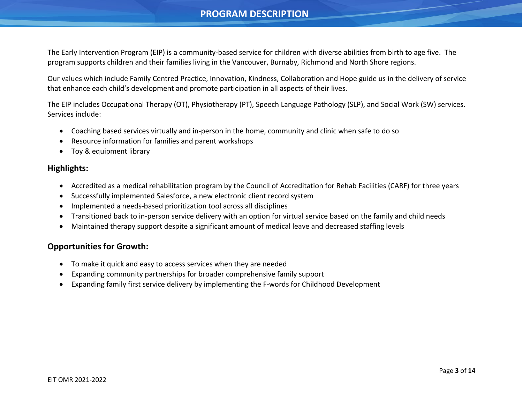### **PROGRAM DESCRIPTION**

<span id="page-2-0"></span>The Early Intervention Program (EIP) is a community-based service for children with diverse abilities from birth to age five. The program supports children and their families living in the Vancouver, Burnaby, Richmond and North Shore regions.

Our values which include Family Centred Practice, Innovation, Kindness, Collaboration and Hope guide us in the delivery of service that enhance each child's development and promote participation in all aspects of their lives.

The EIP includes Occupational Therapy (OT), Physiotherapy (PT), Speech Language Pathology (SLP), and Social Work (SW) services. Services include:

- Coaching based services virtually and in-person in the home, community and clinic when safe to do so
- Resource information for families and parent workshops
- Toy & equipment library

### **Highlights:**

- Accredited as a medical rehabilitation program by the Council of Accreditation for Rehab Facilities (CARF) for three years
- Successfully implemented Salesforce, a new electronic client record system
- Implemented a needs-based prioritization tool across all disciplines
- Transitioned back to in-person service delivery with an option for virtual service based on the family and child needs
- Maintained therapy support despite a significant amount of medical leave and decreased staffing levels

### **Opportunities for Growth:**

- To make it quick and easy to access services when they are needed
- Expanding community partnerships for broader comprehensive family support
- Expanding family first service delivery by implementing the F-words for Childhood Development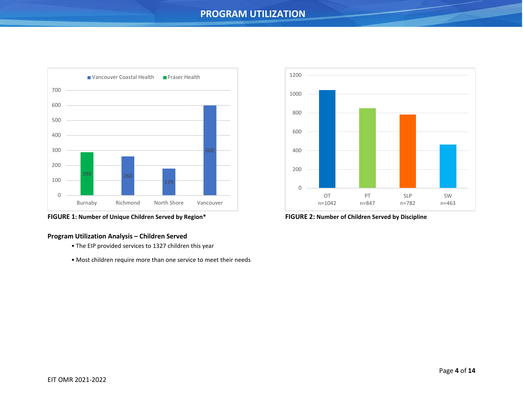### **PROGRAM UTILIZATION**

<span id="page-3-0"></span>

**FIGURE 1: Number of Unique Children Served by Region\* FIGURE 2: Number of Children Served by Discipline**

### **Program Utilization Analysis – Children Served**

- The EIP provided services to 1327 children this year
- Most children require more than one service to meet their needs

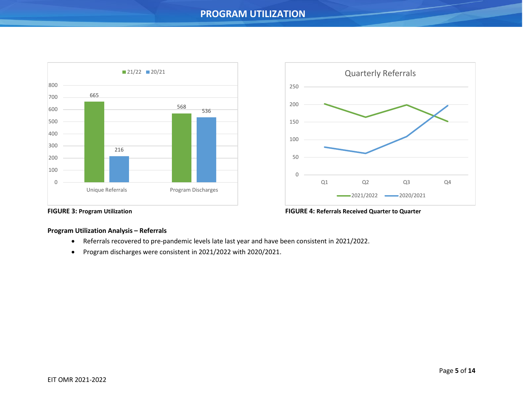### **PROGRAM UTILIZATION**





### **FIGURE 3: Program Utilization FIGURE 4: Referrals Received Quarter to Quarter**

### **Program Utilization Analysis – Referrals**

- Referrals recovered to pre-pandemic levels late last year and have been consistent in 2021/2022.
- Program discharges were consistent in 2021/2022 with 2020/2021.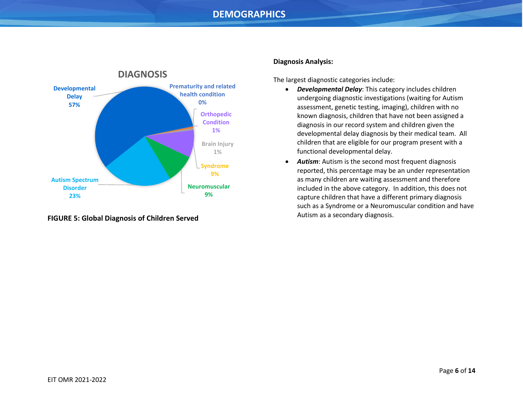### **DEMOGRAPHICS**

<span id="page-5-0"></span>

**FIGURE 5: Global Diagnosis of Children Served**

#### **Diagnosis Analysis:**

The largest diagnostic categories include:

- *Developmental Delay*: This category includes children undergoing diagnostic investigations (waiting for Autism assessment, genetic testing, imaging), children with no known diagnosis, children that have not been assigned a diagnosis in our record system and children given the developmental delay diagnosis by their medical team. All children that are eligible for our program present with a functional developmental delay.
- *Autism*: Autism is the second most frequent diagnosis reported, this percentage may be an under representation as many children are waiting assessment and therefore included in the above category. In addition, this does not capture children that have a different primary diagnosis such as a Syndrome or a Neuromuscular condition and have Autism as a secondary diagnosis.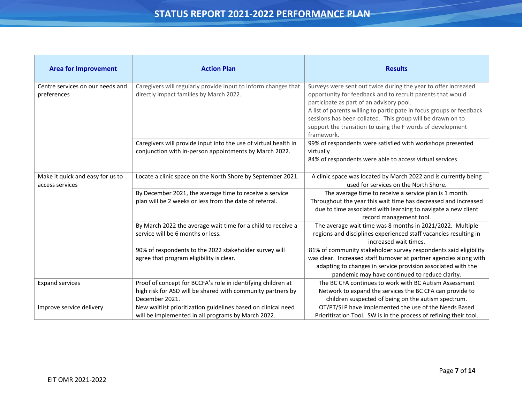## **STATUS REPORT 2021-2022 PERFORMANCE PLAN**

<span id="page-6-0"></span>

| <b>Area for Improvement</b>                         | <b>Action Plan</b>                                                                                                                            | <b>Results</b>                                                                                                                                                                                                                                                                                                                                                                             |
|-----------------------------------------------------|-----------------------------------------------------------------------------------------------------------------------------------------------|--------------------------------------------------------------------------------------------------------------------------------------------------------------------------------------------------------------------------------------------------------------------------------------------------------------------------------------------------------------------------------------------|
| Centre services on our needs and<br>preferences     | Caregivers will regularly provide input to inform changes that<br>directly impact families by March 2022.                                     | Surveys were sent out twice during the year to offer increased<br>opportunity for feedback and to recruit parents that would<br>participate as part of an advisory pool.<br>A list of parents willing to participate in focus groups or feedback<br>sessions has been collated. This group will be drawn on to<br>support the transition to using the F words of development<br>framework. |
|                                                     | Caregivers will provide input into the use of virtual health in<br>conjunction with in-person appointments by March 2022.                     | 99% of respondents were satisfied with workshops presented<br>virtually<br>84% of respondents were able to access virtual services                                                                                                                                                                                                                                                         |
| Make it quick and easy for us to<br>access services | Locate a clinic space on the North Shore by September 2021.                                                                                   | A clinic space was located by March 2022 and is currently being<br>used for services on the North Shore.                                                                                                                                                                                                                                                                                   |
|                                                     | By December 2021, the average time to receive a service<br>plan will be 2 weeks or less from the date of referral.                            | The average time to receive a service plan is 1 month.<br>Throughout the year this wait time has decreased and increased<br>due to time associated with learning to navigate a new client<br>record management tool.                                                                                                                                                                       |
|                                                     | By March 2022 the average wait time for a child to receive a<br>service will be 6 months or less.                                             | The average wait time was 8 months in 2021/2022. Multiple<br>regions and disciplines experienced staff vacancies resulting in<br>increased wait times.                                                                                                                                                                                                                                     |
|                                                     | 90% of respondents to the 2022 stakeholder survey will<br>agree that program eligibility is clear.                                            | 81% of community stakeholder survey respondents said eligibility<br>was clear. Increased staff turnover at partner agencies along with<br>adapting to changes in service provision associated with the<br>pandemic may have continued to reduce clarity.                                                                                                                                   |
| <b>Expand services</b>                              | Proof of concept for BCCFA's role in identifying children at<br>high risk for ASD will be shared with community partners by<br>December 2021. | The BC CFA continues to work with BC Autism Assessment<br>Network to expand the services the BC CFA can provide to<br>children suspected of being on the autism spectrum.                                                                                                                                                                                                                  |
| Improve service delivery                            | New waitlist prioritization guidelines based on clinical need<br>will be implemented in all programs by March 2022.                           | OT/PT/SLP have implemented the use of the Needs Based<br>Prioritization Tool. SW is in the process of refining their tool.                                                                                                                                                                                                                                                                 |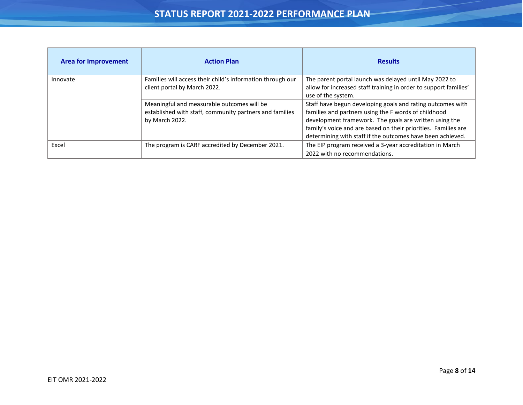| <b>Area for Improvement</b> | <b>Action Plan</b>                                         | <b>Results</b>                                                   |
|-----------------------------|------------------------------------------------------------|------------------------------------------------------------------|
| Innovate                    | Families will access their child's information through our | The parent portal launch was delayed until May 2022 to           |
|                             | client portal by March 2022.                               | allow for increased staff training in order to support families' |
|                             |                                                            | use of the system.                                               |
|                             | Meaningful and measurable outcomes will be                 | Staff have begun developing goals and rating outcomes with       |
|                             | established with staff, community partners and families    | families and partners using the F words of childhood             |
|                             | by March 2022.                                             | development framework. The goals are written using the           |
|                             |                                                            | family's voice and are based on their priorities. Families are   |
|                             |                                                            | determining with staff if the outcomes have been achieved.       |
| Excel                       | The program is CARF accredited by December 2021.           | The EIP program received a 3-year accreditation in March         |
|                             |                                                            | 2022 with no recommendations.                                    |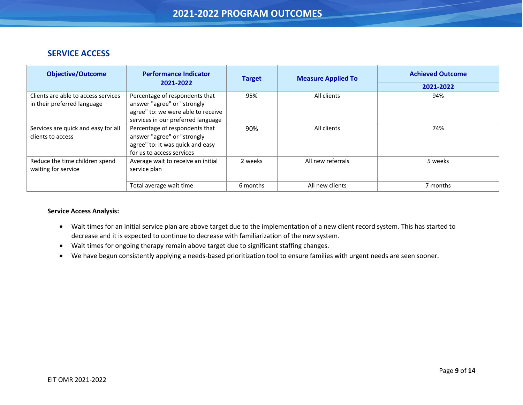### **SERVICE ACCESS**

<span id="page-8-0"></span>j

| <b>Objective/Outcome</b>            | <b>Performance Indicator</b>       | <b>Target</b> | <b>Achieved Outcome</b><br><b>Measure Applied To</b> |           |
|-------------------------------------|------------------------------------|---------------|------------------------------------------------------|-----------|
|                                     | 2021-2022                          |               |                                                      | 2021-2022 |
| Clients are able to access services | Percentage of respondents that     | 95%           | All clients                                          | 94%       |
| in their preferred language         | answer "agree" or "strongly        |               |                                                      |           |
|                                     | agree" to: we were able to receive |               |                                                      |           |
|                                     | services in our preferred language |               |                                                      |           |
| Services are quick and easy for all | Percentage of respondents that     | 90%           | All clients                                          | 74%       |
| clients to access                   | answer "agree" or "strongly        |               |                                                      |           |
|                                     | agree" to: It was quick and easy   |               |                                                      |           |
|                                     | for us to access services          |               |                                                      |           |
| Reduce the time children spend      | Average wait to receive an initial | 2 weeks       | All new referrals                                    | 5 weeks   |
| waiting for service                 | service plan                       |               |                                                      |           |
|                                     |                                    |               |                                                      |           |
|                                     | Total average wait time            | 6 months      | All new clients                                      | 7 months  |

#### **Service Access Analysis:**

- Wait times for an initial service plan are above target due to the implementation of a new client record system. This has started to decrease and it is expected to continue to decrease with familiarization of the new system.
- Wait times for ongoing therapy remain above target due to significant staffing changes.
- We have begun consistently applying a needs-based prioritization tool to ensure families with urgent needs are seen sooner.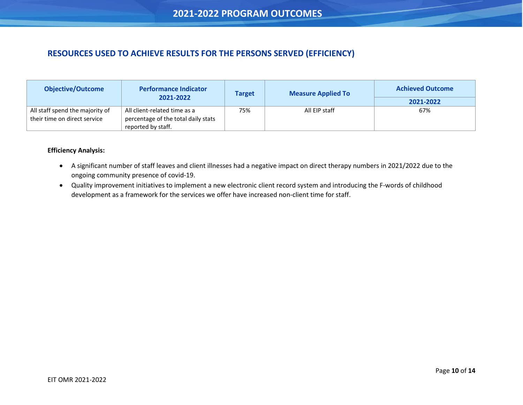### <span id="page-9-0"></span>**RESOURCES USED TO ACHIEVE RESULTS FOR THE PERSONS SERVED (EFFICIENCY)**

| <b>Objective/Outcome</b>                                        | <b>Performance Indicator</b>                                        | <b>Target</b> | <b>Measure Applied To</b> | <b>Achieved Outcome</b> |
|-----------------------------------------------------------------|---------------------------------------------------------------------|---------------|---------------------------|-------------------------|
|                                                                 | 2021-2022                                                           |               |                           | 2021-2022               |
| All staff spend the majority of<br>their time on direct service | All client-related time as a<br>percentage of the total daily stats | 75%           | All EIP staff             | 67%                     |
|                                                                 | reported by staff.                                                  |               |                           |                         |

#### **Efficiency Analysis:**

- A significant number of staff leaves and client illnesses had a negative impact on direct therapy numbers in 2021/2022 due to the ongoing community presence of covid-19.
- Quality improvement initiatives to implement a new electronic client record system and introducing the F-words of childhood development as a framework for the services we offer have increased non-client time for staff.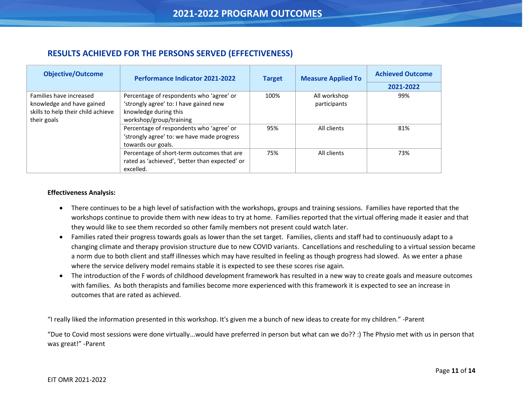### **RESULTS ACHIEVED FOR THE PERSONS SERVED (EFFECTIVENESS)**

| <b>Objective/Outcome</b>                                                                   | <b>Performance Indicator 2021-2022</b>                                                                                                  | <b>Target</b> | <b>Measure Applied To</b>    | <b>Achieved Outcome</b> |
|--------------------------------------------------------------------------------------------|-----------------------------------------------------------------------------------------------------------------------------------------|---------------|------------------------------|-------------------------|
|                                                                                            |                                                                                                                                         |               |                              | 2021-2022               |
| Families have increased<br>knowledge and have gained<br>skills to help their child achieve | Percentage of respondents who 'agree' or<br>'strongly agree' to: I have gained new<br>knowledge during this                             | 100%          | All workshop<br>participants | 99%                     |
| their goals                                                                                | workshop/group/training<br>Percentage of respondents who 'agree' or<br>'strongly agree' to: we have made progress<br>towards our goals. | 95%           | All clients                  | 81%                     |
|                                                                                            | Percentage of short-term outcomes that are<br>rated as 'achieved', 'better than expected' or<br>excelled.                               | 75%           | All clients                  | 73%                     |

#### **Effectiveness Analysis:**

<span id="page-10-0"></span>j

- There continues to be a high level of satisfaction with the workshops, groups and training sessions. Families have reported that the workshops continue to provide them with new ideas to try at home. Families reported that the virtual offering made it easier and that they would like to see them recorded so other family members not present could watch later.
- Families rated their progress towards goals as lower than the set target. Families, clients and staff had to continuously adapt to a changing climate and therapy provision structure due to new COVID variants. Cancellations and rescheduling to a virtual session became a norm due to both client and staff illnesses which may have resulted in feeling as though progress had slowed. As we enter a phase where the service delivery model remains stable it is expected to see these scores rise again.
- The introduction of the F words of childhood development framework has resulted in a new way to create goals and measure outcomes with families. As both therapists and families become more experienced with this framework it is expected to see an increase in outcomes that are rated as achieved.

"I really liked the information presented in this workshop. It's given me a bunch of new ideas to create for my children." -Parent

"Due to Covid most sessions were done virtually...would have preferred in person but what can we do?? :) The Physio met with us in person that was great!" -Parent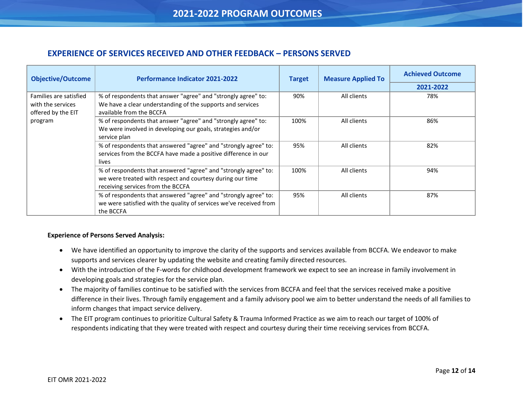### <span id="page-11-0"></span>**EXPERIENCE OF SERVICES RECEIVED AND OTHER FEEDBACK – PERSONS SERVED**

| <b>Objective/Outcome</b>                                          | <b>Performance Indicator 2021-2022</b>                                                                                                                            | <b>Target</b> | <b>Measure Applied To</b> | <b>Achieved Outcome</b> |
|-------------------------------------------------------------------|-------------------------------------------------------------------------------------------------------------------------------------------------------------------|---------------|---------------------------|-------------------------|
|                                                                   |                                                                                                                                                                   |               |                           | 2021-2022               |
| Families are satisfied<br>with the services<br>offered by the EIT | % of respondents that answer "agree" and "strongly agree" to:<br>We have a clear understanding of the supports and services<br>available from the BCCFA           | 90%           | All clients               | 78%                     |
| program                                                           | % of respondents that answer "agree" and "strongly agree" to:<br>We were involved in developing our goals, strategies and/or<br>service plan                      | 100%          | All clients               | 86%                     |
|                                                                   | % of respondents that answered "agree" and "strongly agree" to:<br>services from the BCCFA have made a positive difference in our<br>lives                        | 95%           | All clients               | 82%                     |
|                                                                   | % of respondents that answered "agree" and "strongly agree" to:<br>we were treated with respect and courtesy during our time<br>receiving services from the BCCFA | 100%          | All clients               | 94%                     |
|                                                                   | % of respondents that answered "agree" and "strongly agree" to:<br>we were satisfied with the quality of services we've received from<br>the BCCFA                | 95%           | All clients               | 87%                     |

#### **Experience of Persons Served Analysis:**

- We have identified an opportunity to improve the clarity of the supports and services available from BCCFA. We endeavor to make supports and services clearer by updating the website and creating family directed resources.
- With the introduction of the F-words for childhood development framework we expect to see an increase in family involvement in developing goals and strategies for the service plan.
- The majority of families continue to be satisfied with the services from BCCFA and feel that the services received make a positive difference in their lives. Through family engagement and a family advisory pool we aim to better understand the needs of all families to inform changes that impact service delivery.
- The EIT program continues to prioritize Cultural Safety & Trauma Informed Practice as we aim to reach our target of 100% of respondents indicating that they were treated with respect and courtesy during their time receiving services from BCCFA.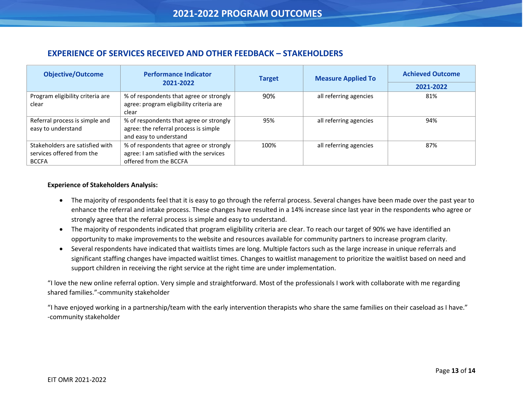### **EXPERIENCE OF SERVICES RECEIVED AND OTHER FEEDBACK – STAKEHOLDERS**

| <b>Objective/Outcome</b>         | <b>Performance Indicator</b>            | <b>Target</b> | <b>Measure Applied To</b> | <b>Achieved Outcome</b> |
|----------------------------------|-----------------------------------------|---------------|---------------------------|-------------------------|
|                                  | 2021-2022                               |               |                           | 2021-2022               |
| Program eligibility criteria are | % of respondents that agree or strongly | 90%           | all referring agencies    | 81%                     |
| clear                            | agree: program eligibility criteria are |               |                           |                         |
|                                  | clear                                   |               |                           |                         |
| Referral process is simple and   | % of respondents that agree or strongly | 95%           | all referring agencies    | 94%                     |
| easy to understand               | agree: the referral process is simple   |               |                           |                         |
|                                  | and easy to understand                  |               |                           |                         |
| Stakeholders are satisfied with  | % of respondents that agree or strongly | 100%          | all referring agencies    | 87%                     |
| services offered from the        | agree: I am satisfied with the services |               |                           |                         |
| <b>BCCFA</b>                     | offered from the BCCFA                  |               |                           |                         |

#### **Experience of Stakeholders Analysis:**

<span id="page-12-0"></span>j

- The majority of respondents feel that it is easy to go through the referral process. Several changes have been made over the past year to enhance the referral and intake process. These changes have resulted in a 14% increase since last year in the respondents who agree or strongly agree that the referral process is simple and easy to understand.
- The majority of respondents indicated that program eligibility criteria are clear. To reach our target of 90% we have identified an opportunity to make improvements to the website and resources available for community partners to increase program clarity.
- Several respondents have indicated that waitlists times are long. Multiple factors such as the large increase in unique referrals and significant staffing changes have impacted waitlist times. Changes to waitlist management to prioritize the waitlist based on need and support children in receiving the right service at the right time are under implementation.

"I love the new online referral option. Very simple and straightforward. Most of the professionals I work with collaborate with me regarding shared families."-community stakeholder

"I have enjoyed working in a partnership/team with the early intervention therapists who share the same families on their caseload as I have." -community stakeholder